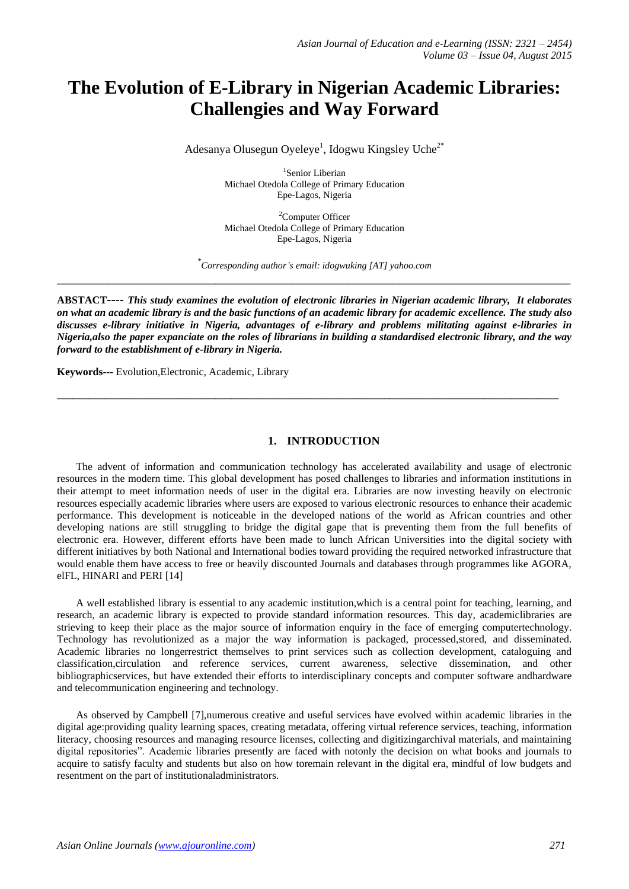# **The Evolution of E-Library in Nigerian Academic Libraries: Challengies and Way Forward**

Adesanya Olusegun Oyeleye<sup>1</sup>, Idogwu Kingsley Uche<sup>2\*</sup>

1 Senior Liberian Michael Otedola College of Primary Education Epe-Lagos, Nigeria

<sup>2</sup>Computer Officer Michael Otedola College of Primary Education Epe-Lagos, Nigeria

*\* Corresponding author's email: idogwuking [AT] yahoo.com* \_\_\_\_\_\_\_\_\_\_\_\_\_\_\_\_\_\_\_\_\_\_\_\_\_\_\_\_\_\_\_\_\_\_\_\_\_\_\_\_\_\_\_\_\_\_\_\_\_\_\_\_\_\_\_\_\_\_\_\_\_\_\_\_\_\_\_\_\_\_\_\_\_\_\_\_\_\_\_\_\_

**ABSTACT----** *This study examines the evolution of electronic libraries in Nigerian academic library, It elaborates on what an academic library is and the basic functions of an academic library for academic excellence. The study also discusses e-library initiative in Nigeria, advantages of e-library and problems militating against e-libraries in Nigeria,also the paper expanciate on the roles of librarians in building a standardised electronic library, and the way forward to the establishment of e-library in Nigeria.*

\_\_\_\_\_\_\_\_\_\_\_\_\_\_\_\_\_\_\_\_\_\_\_\_\_\_\_\_\_\_\_\_\_\_\_\_\_\_\_\_\_\_\_\_\_\_\_\_\_\_\_\_\_\_\_\_\_\_\_\_\_\_\_\_\_\_\_\_\_\_\_\_\_\_\_\_\_\_\_\_\_\_\_\_\_\_\_\_\_\_\_\_\_\_\_

**Keywords---** Evolution,Electronic, Academic, Library

## **1. INTRODUCTION**

The advent of information and communication technology has accelerated availability and usage of electronic resources in the modern time. This global development has posed challenges to libraries and information institutions in their attempt to meet information needs of user in the digital era. Libraries are now investing heavily on electronic resources especially academic libraries where users are exposed to various electronic resources to enhance their academic performance. This development is noticeable in the developed nations of the world as African countries and other developing nations are still struggling to bridge the digital gape that is preventing them from the full benefits of electronic era. However, different efforts have been made to lunch African Universities into the digital society with different initiatives by both National and International bodies toward providing the required networked infrastructure that would enable them have access to free or heavily discounted Journals and databases through programmes like AGORA, elFL, HINARI and PERI [14]

A well established library is essential to any academic institution,which is a central point for teaching, learning, and research, an academic library is expected to provide standard information resources. This day, academiclibraries are strieving to keep their place as the major source of information enquiry in the face of emerging computertechnology. Technology has revolutionized as a major the way information is packaged, processed,stored, and disseminated. Academic libraries no longerrestrict themselves to print services such as collection development, cataloguing and classification,circulation and reference services, current awareness, selective dissemination, and other bibliographicservices, but have extended their efforts to interdisciplinary concepts and computer software andhardware and telecommunication engineering and technology.

As observed by Campbell [7],numerous creative and useful services have evolved within academic libraries in the digital age:providing quality learning spaces, creating metadata, offering virtual reference services, teaching, information literacy, choosing resources and managing resource licenses, collecting and digitizingarchival materials, and maintaining digital repositories". Academic libraries presently are faced with notonly the decision on what books and journals to acquire to satisfy faculty and students but also on how toremain relevant in the digital era, mindful of low budgets and resentment on the part of institutionaladministrators.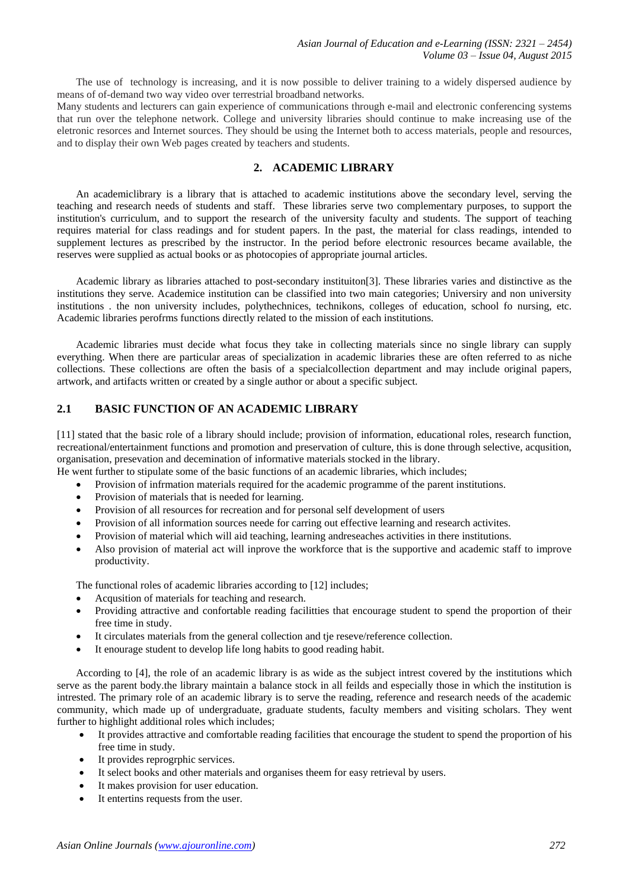The use of technology is increasing, and it is now possible to deliver training to a widely dispersed audience by means of of-demand two way video over terrestrial broadband networks.

Many students and lecturers can gain experience of communications through e-mail and electronic conferencing systems that run over the telephone network. College and university libraries should continue to make increasing use of the eletronic resorces and Internet sources. They should be using the Internet both to access materials, people and resources, and to display their own Web pages created by teachers and students.

## **2. ACADEMIC LIBRARY**

An academiclibrary is a [library](file:///C:\wiki\Library) that is attached to academic institutions above the secondary level, serving the teaching and research needs of students and staff. These libraries serve two complementary purposes, to support the institution's curriculum, and to support the research of the university faculty and students. The support of teaching requires material for class readings and for student papers. In the past, the material for class readings, intended to supplement lectures as prescribed by the instructor. In the period before electronic resources became available, the reserves were supplied as actual books or as photocopies of appropriate journal articles.

Academic library as libraries attached to post-secondary instituiton[3]. These libraries varies and distinctive as the institutions they serve. Academice institution can be classified into two main categories; Universiry and non university institutions . the non university includes, polythechnices, technikons, colleges of education, school fo nursing, etc. Academic libraries perofrms functions directly related to the mission of each institutions.

Academic libraries must decide what focus they take in collecting materials since no single library can supply everything. When there are particular areas of specialization in academic libraries these are often referred to as niche collections. These collections are often the basis of a [specialcollection](file:///C:\wiki\Special_collection) department and may include original papers, artwork, and artifacts written or created by a single author or about a specific subject.

## **2.1 BASIC FUNCTION OF AN ACADEMIC LIBRARY**

[11] stated that the basic role of a library should include; provision of information, educational roles, research function, recreational/entertainment functions and promotion and preservation of culture, this is done through selective, acqusition, organisation, presevation and decemination of informative materials stocked in the library.

He went further to stipulate some of the basic functions of an academic libraries, which includes;

- Provision of infrmation materials required for the academic programme of the parent institutions.
- Provision of materials that is needed for learning.
- Provision of all resources for recreation and for personal self development of users
- Provision of all information sources neede for carring out effective learning and research activites.
- Provision of material which will aid teaching, learning andreseaches activities in there institutions.
- Also provision of material act will inprove the workforce that is the supportive and academic staff to improve productivity.

The functional roles of academic libraries according to [12] includes;

- Acqusition of materials for teaching and research.
- Providing attractive and confortable reading facilitties that encourage student to spend the proportion of their free time in study.
- It circulates materials from the general collection and tje reseve/reference collection.
- It enourage student to develop life long habits to good reading habit.

According to [4], the role of an academic library is as wide as the subject intrest covered by the institutions which serve as the parent body.the library maintain a balance stock in all feilds and especially those in which the institution is intrested. The primary role of an academic library is to serve the reading, reference and research needs of the academic community, which made up of undergraduate, graduate students, faculty members and visiting scholars. They went further to highlight additional roles which includes;

- It provides attractive and comfortable reading facilities that encourage the student to spend the proportion of his free time in study.
- It provides reprogrphic services.
- It select books and other materials and organises theem for easy retrieval by users.
- It makes provision for user education.
- It entertins requests from the user.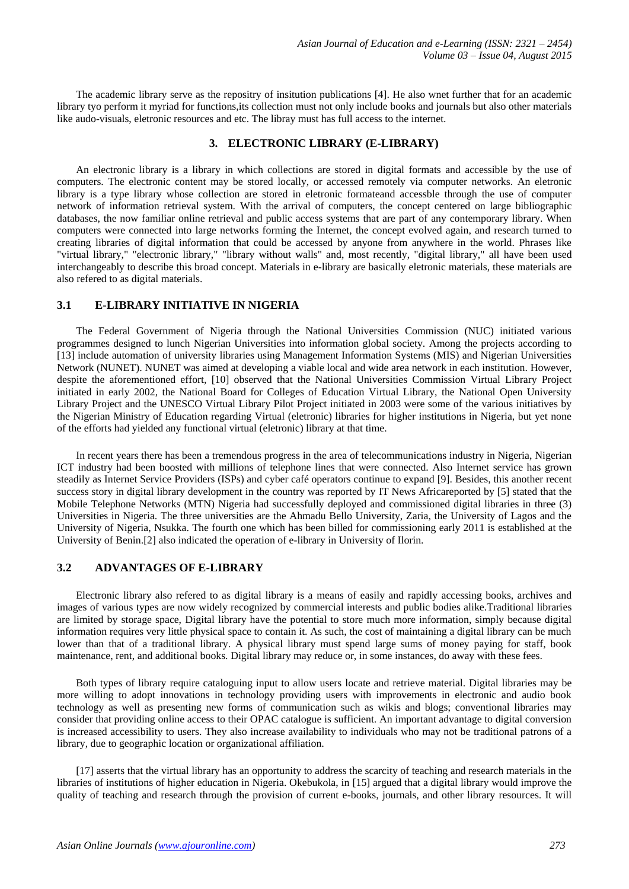The academic library serve as the repositry of insitution publications [4]. He also wnet further that for an academic library tyo perform it myriad for functions,its collection must not only include books and journals but also other materials like audo-visuals, eletronic resources and etc. The libray must has full access to the internet.

#### **3. ELECTRONIC LIBRARY (E-LIBRARY)**

An electronic library is a library in which collections are stored in digital formats and accessible by the use of computers. The electronic content may be stored locally, or accessed remotely via computer networks. An eletronic library is a type library whose collection are stored in eletronic formateand accessble through the use of computer network of information retrieval system. With the arrival of computers, the concept centered on large bibliographic databases, the now familiar online retrieval and public access systems that are part of any contemporary library. When computers were connected into large networks forming the Internet, the concept evolved again, and research turned to creating libraries of digital information that could be accessed by anyone from anywhere in the world. Phrases like "virtual library," "electronic library," "library without walls" and, most recently, "digital library," all have been used interchangeably to describe this broad concept. Materials in e-library are basically eletronic materials, these materials are also refered to as digital materials.

#### **3.1 E-LIBRARY INITIATIVE IN NIGERIA**

The Federal Government of Nigeria through the National Universities Commission (NUC) initiated various programmes designed to lunch Nigerian Universities into information global society. Among the projects according to [13] include automation of university libraries using Management Information Systems (MIS) and Nigerian Universities Network (NUNET). NUNET was aimed at developing a viable local and wide area network in each institution. However, despite the aforementioned effort, [10] observed that the National Universities Commission Virtual Library Project initiated in early 2002, the National Board for Colleges of Education Virtual Library, the National Open University Library Project and the UNESCO Virtual Library Pilot Project initiated in 2003 were some of the various initiatives by the Nigerian Ministry of Education regarding Virtual (eletronic) libraries for higher institutions in Nigeria, but yet none of the efforts had yielded any functional virtual (eletronic) library at that time.

In recent years there has been a tremendous progress in the area of telecommunications industry in Nigeria, Nigerian ICT industry had been boosted with millions of telephone lines that were connected. Also Internet service has grown steadily as Internet Service Providers (ISPs) and cyber café operators continue to expand [9]. Besides, this another recent success story in digital library development in the country was reported by IT News Africareported by [5] stated that the Mobile Telephone Networks (MTN) Nigeria had successfully deployed and commissioned digital libraries in three (3) Universities in Nigeria. The three universities are the Ahmadu Bello University, Zaria, the University of Lagos and the University of Nigeria, Nsukka. The fourth one which has been billed for commissioning early 2011 is established at the University of Benin.[2] also indicated the operation of e-library in University of Ilorin.

#### **3.2 ADVANTAGES OF E-LIBRARY**

Electronic library also refered to as digital library is a means of easily and rapidly accessing books, archives and images of various types are now widely recognized by commercial interests and public bodies alike.Traditional libraries are limited by storage space, Digital library have the potential to store much more information, simply because digital information requires very little physical space to contain it. As such, the cost of maintaining a digital library can be much lower than that of a traditional library. A physical library must spend large sums of money paying for staff, book maintenance, rent, and additional books. Digital library may reduce or, in some instances, do away with these fees.

Both types of library require cataloguing input to allow users locate and retrieve material. Digital libraries may be more willing to adopt innovations in technology providing users with improvements in electronic and audio book technology as well as presenting new forms of communication such as wikis and blogs; conventional libraries may consider that providing online access to their OPAC catalogue is sufficient. An important advantage to digital conversion is increased accessibility to users. They also increase availability to individuals who may not be traditional patrons of a library, due to geographic location or organizational affiliation.

[17] asserts that the virtual library has an opportunity to address the scarcity of teaching and research materials in the libraries of institutions of higher education in Nigeria. Okebukola, in [15] argued that a digital library would improve the quality of teaching and research through the provision of current e-books, journals, and other library resources. It will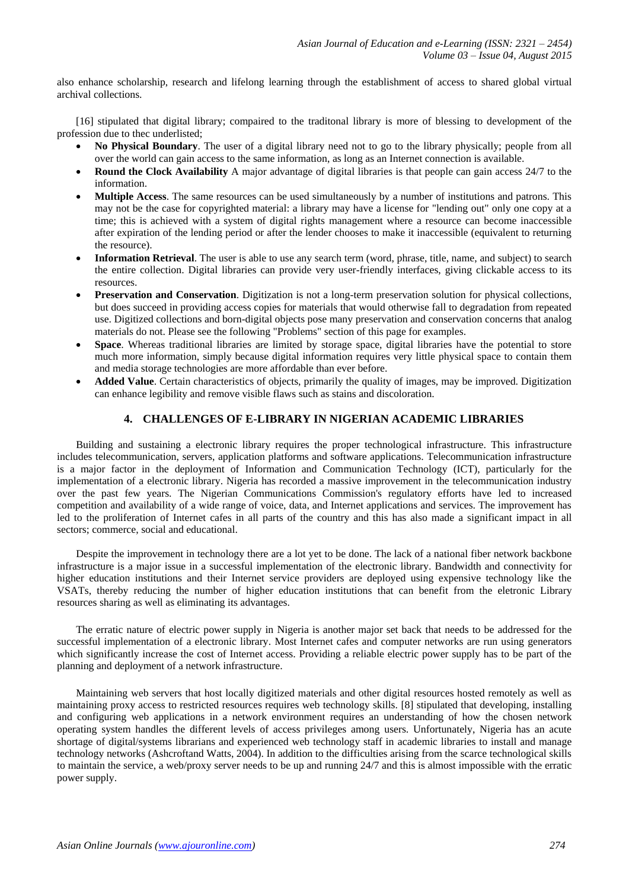also enhance scholarship, research and lifelong learning through the establishment of access to shared global virtual archival collections.

[16] stipulated that digital library; compaired to the traditonal library is more of blessing to development of the profession due to thec underlisted;

- **No Physical Boundary**. The user of a digital library need not to go to the library physically; people from all over the world can gain access to the same information, as long as an Internet connection is available.
- **Round the Clock Availability** A major advantage of digital libraries is that people can gain access 24/7 to the information.
- **Multiple Access**. The same resources can be used simultaneously by a number of institutions and patrons. This may not be the case for copyrighted material: a library may have a license for "lending out" only one copy at a time; this is achieved with a system of digital rights management where a resource can become inaccessible after expiration of the lending period or after the lender chooses to make it inaccessible (equivalent to returning the resource).
- **Information Retrieval**. The user is able to use any search term (word, phrase, title, name, and subject) to search the entire collection. Digital libraries can provide very user-friendly interfaces, giving clickable access to its resources.
- **Preservation and Conservation**. Digitization is not a long-term preservation solution for physical collections, but does succeed in providing access copies for materials that would otherwise fall to degradation from repeated use. Digitized collections and born-digital objects pose many preservation and conservation concerns that analog materials do not. Please see the following "Problems" section of this page for examples.
- **Space**. Whereas traditional libraries are limited by storage space, digital libraries have the potential to store much more information, simply because digital information requires very little physical space to contain them and media storage technologies are more affordable than ever before.
- **Added Value**. Certain characteristics of objects, primarily the quality of images, may be improved. Digitization can enhance legibility and remove visible flaws such as stains and discoloration.

# **4. CHALLENGES OF E-LIBRARY IN NIGERIAN ACADEMIC LIBRARIES**

Building and sustaining a electronic library requires the proper technological infrastructure. This infrastructure includes telecommunication, servers, application platforms and software applications. Telecommunication infrastructure is a major factor in the deployment of Information and Communication Technology (ICT), particularly for the implementation of a electronic library. Nigeria has recorded a massive improvement in the telecommunication industry over the past few years. The Nigerian Communications Commission's regulatory efforts have led to increased competition and availability of a wide range of voice, data, and Internet applications and services. The improvement has led to the proliferation of Internet cafes in all parts of the country and this has also made a significant impact in all sectors; commerce, social and educational.

Despite the improvement in technology there are a lot yet to be done. The lack of a national fiber network backbone infrastructure is a major issue in a successful implementation of the electronic library. Bandwidth and connectivity for higher education institutions and their Internet service providers are deployed using expensive technology like the VSATs, thereby reducing the number of higher education institutions that can benefit from the eletronic Library resources sharing as well as eliminating its advantages.

The erratic nature of electric power supply in Nigeria is another major set back that needs to be addressed for the successful implementation of a electronic library. Most Internet cafes and computer networks are run using generators which significantly increase the cost of Internet access. Providing a reliable electric power supply has to be part of the planning and deployment of a network infrastructure.

Maintaining web servers that host locally digitized materials and other digital resources hosted remotely as well as maintaining proxy access to restricted resources requires web technology skills. [8] stipulated that developing, installing and configuring web applications in a network environment requires an understanding of how the chosen network operating system handles the different levels of access privileges among users. Unfortunately, Nigeria has an acute shortage of digital/systems librarians and experienced web technology staff in academic libraries to install and manage technology networks (Ashcroftand Watts, 2004). In addition to the difficulties arising from the scarce technological skills to maintain the service, a web/proxy server needs to be up and running 24/7 and this is almost impossible with the erratic power supply.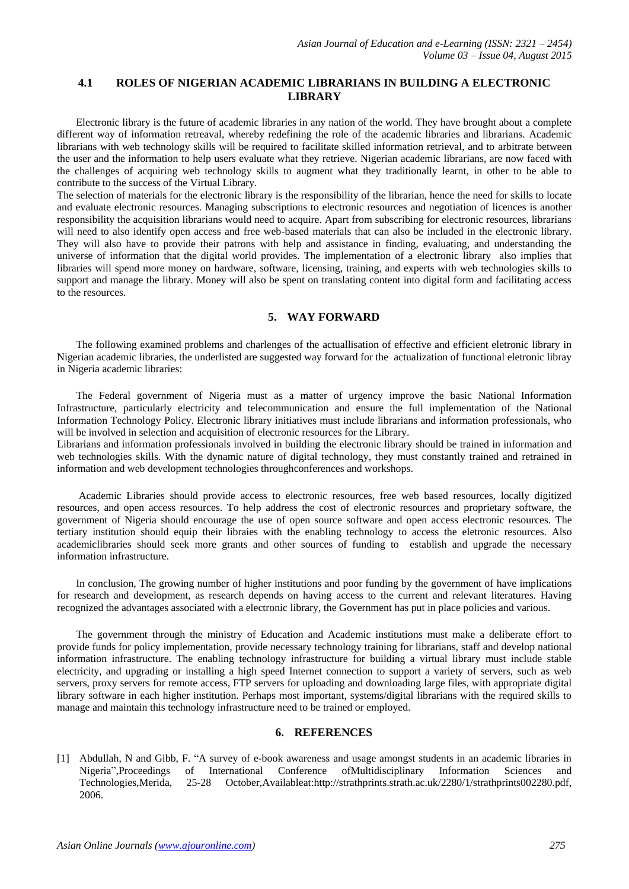## **4.1 ROLES OF NIGERIAN ACADEMIC LIBRARIANS IN BUILDING A ELECTRONIC LIBRARY**

Electronic library is the future of academic libraries in any nation of the world. They have brought about a complete different way of information retreaval, whereby redefining the role of the academic libraries and librarians. Academic librarians with web technology skills will be required to facilitate skilled information retrieval, and to arbitrate between the user and the information to help users evaluate what they retrieve. Nigerian academic librarians, are now faced with the challenges of acquiring web technology skills to augment what they traditionally learnt, in other to be able to contribute to the success of the Virtual Library.

The selection of materials for the electronic library is the responsibility of the librarian, hence the need for skills to locate and evaluate electronic resources. Managing subscriptions to electronic resources and negotiation of licences is another responsibility the acquisition librarians would need to acquire. Apart from subscribing for electronic resources, librarians will need to also identify open access and free web-based materials that can also be included in the electronic library. They will also have to provide their patrons with help and assistance in finding, evaluating, and understanding the universe of information that the digital world provides. The implementation of a electronic library also implies that libraries will spend more money on hardware, software, licensing, training, and experts with web technologies skills to support and manage the library. Money will also be spent on translating content into digital form and facilitating access to the resources.

## **5. WAY FORWARD**

The following examined problems and charlenges of the actuallisation of effective and efficient eletronic library in Nigerian academic libraries, the underlisted are suggested way forward for the actualization of functional eletronic libray in Nigeria academic libraries:

The Federal government of Nigeria must as a matter of urgency improve the basic National Information Infrastructure, particularly electricity and telecommunication and ensure the full implementation of the National Information Technology Policy. Electronic library initiatives must include librarians and information professionals, who will be involved in selection and acquisition of electronic resources for the Library.

Librarians and information professionals involved in building the electronic library should be trained in information and web technologies skills. With the dynamic nature of digital technology, they must constantly trained and retrained in information and web development technologies throughconferences and workshops.

Academic Libraries should provide access to electronic resources, free web based resources, locally digitized resources, and open access resources. To help address the cost of electronic resources and proprietary software, the government of Nigeria should encourage the use of open source software and open access electronic resources. The tertiary institution should equip their libraies with the enabling technology to access the eletronic resources. Also academiclibraries should seek more grants and other sources of funding to establish and upgrade the necessary information infrastructure.

In conclusion, The growing number of higher institutions and poor funding by the government of have implications for research and development, as research depends on having access to the current and relevant literatures. Having recognized the advantages associated with a electronic library, the Government has put in place policies and various.

The government through the ministry of Education and Academic institutions must make a deliberate effort to provide funds for policy implementation, provide necessary technology training for librarians, staff and develop national information infrastructure. The enabling technology infrastructure for building a virtual library must include stable electricity, and upgrading or installing a high speed Internet connection to support a variety of servers, such as web servers, proxy servers for remote access, FTP servers for uploading and downloading large files, with appropriate digital library software in each higher institution. Perhaps most important, systems/digital librarians with the required skills to manage and maintain this technology infrastructure need to be trained or employed.

## **6. REFERENCES**

[1] Abdullah, N and Gibb, F. "A survey of e-book awareness and usage amongst students in an academic libraries in Nigeria",Proceedings of International Conference ofMultidisciplinary Information Sciences and Technologies,Merida, 25-28 October,Availableat:http://strathprints.strath.ac.uk/2280/1/strathprints002280.pdf, 2006.